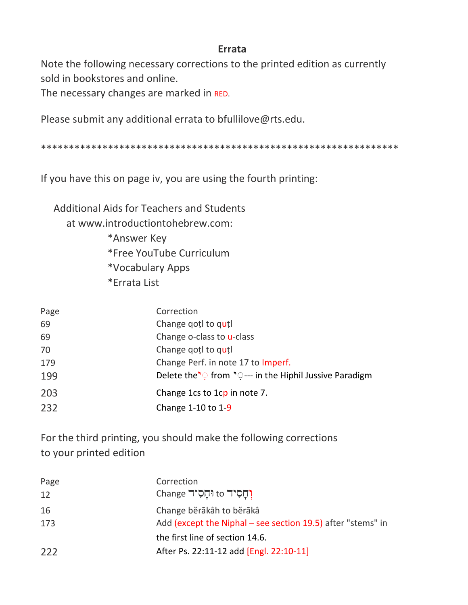## **Errata**

Note the following necessary corrections to the printed edition as currently sold in bookstores and online.

The necessary changes are marked in RED.

Please submit any additional errata to bfullilove@rts.edu.

If you have this on page iv, you are using the fourth printing:

**Additional Aids for Teachers and Students** at www.introductiontohebrew.com: \*Answer Key \*Free YouTube Curriculum \*Vocabulary Apps \*Errata List

| Page | Correction                                                                    |
|------|-------------------------------------------------------------------------------|
| 69   | Change gotl to qutl                                                           |
| 69   | Change o-class to u-class                                                     |
| 70   | Change gotl to qutl                                                           |
| 179  | Change Perf. in note 17 to Imperf.                                            |
| 199  | Delete the <sup>1</sup> from <sup>1</sup> :--- in the Hiphil Jussive Paradigm |
| 203  | Change 1cs to 1cp in note 7.                                                  |
| 232  | Change 1-10 to 1-9                                                            |

For the third printing, you should make the following corrections to your printed edition

| Page  | Correction                                                                 |
|-------|----------------------------------------------------------------------------|
| 12    | וְחָסִיד to וּחָסִיד to                                                    |
| 16    | Change běrākâh to běrākâ                                                   |
| 173   | Add (except the Niphal – see section 19.5) after "stems" in                |
| $222$ | the first line of section 14.6.<br>After Ps. 22:11-12 add [Engl. 22:10-11] |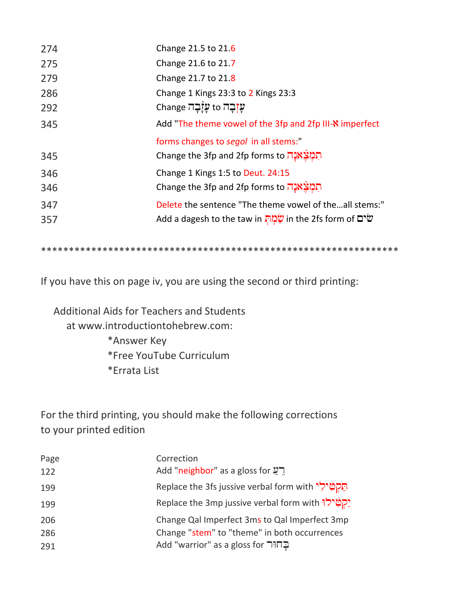| 274 | Change 21.5 to 21.6                                      |
|-----|----------------------------------------------------------|
| 275 | Change 21.6 to 21.7                                      |
| 279 | Change 21.7 to 21.8                                      |
| 286 | Change 1 Kings 23:3 to 2 Kings 23:3                      |
| 292 | עַזְבָה to עֲזָבָה Change                                |
| 345 | Add "The theme vowel of the 3fp and 2fp III-N imperfect  |
|     | forms changes to segol in all stems:"                    |
| 345 | תְמְצָאנָה Change the 3fp and 2fp forms to               |
|     |                                                          |
| 346 | Change 1 Kings 1:5 to Deut. 24:15                        |
| 346 | תְמְצֵאֲנָה Change the 3fp and 2fp forms to              |
| 347 | Delete the sentence "The theme vowel of theall stems:"   |
| 357 | Add a dagesh to the taw in שְׁמָה in the 2fs form of שׁמ |

If you have this on page iv, you are using the second or third printing:

Additional Aids for Teachers and Students at www.introductiontohebrew.com: \*Answer Key \*Free YouTube Curriculum \*Errata List

For the third printing, you should make the following corrections to your printed edition

| Page | Correction                                                         |
|------|--------------------------------------------------------------------|
| 122  | Add "neighbor" as a gloss for $\mathbf{2}$                         |
| 199  | <b>Replace the 3fs jussive verbal form with הַקְטִירְי</b>         |
| 199  | <u>יקטילוּ</u> Replace the 3mp jussive verbal form with יַקְטִילוּ |
| 206  | Change Qal Imperfect 3ms to Qal Imperfect 3mp                      |
| 286  | Change "stem" to "theme" in both occurrences                       |
| 291  | בֲחוּר Add "warrior" as a gloss for                                |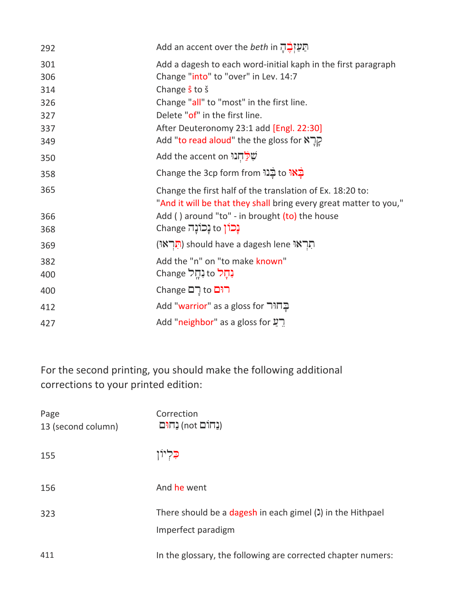| 292 | <b>Add an accent over the <i>beth</i> in תַעַיְבֶד</b> ָ                                                                       |
|-----|--------------------------------------------------------------------------------------------------------------------------------|
| 301 | Add a dagesh to each word-initial kaph in the first paragraph                                                                  |
| 306 | Change "into" to "over" in Lev. 14:7                                                                                           |
| 314 | Change <i>s</i> to s                                                                                                           |
| 326 | Change "all" to "most" in the first line.                                                                                      |
| 327 | Delete "of" in the first line.                                                                                                 |
| 337 | After Deuteronomy 23:1 add [Engl. 22:30]                                                                                       |
| 349 | Add "to read aloud" the the gloss for $\aleph$ רְ                                                                              |
| 350 | שְׁלַחְנוּ Add the accent on                                                                                                   |
| 358 | בֵאוּ to בְנוּ Change the 3cp form from                                                                                        |
| 365 | Change the first half of the translation of Ex. 18:20 to:<br>"And it will be that they shall bring every great matter to you," |
| 366 | Add () around "to" - in brought (to) the house                                                                                 |
| 368 | <b>נָכוֹן</b> to נָכוֹנָה Change                                                                                               |
| 369 | הְרְאוּ) should have a dagesh lene הְרְאוּ                                                                                     |
| 382 | Add the "n" on "to make known"                                                                                                 |
| 400 | <b>נְהָל to נִהְל</b>                                                                                                          |
| 400 | <b>Change</b> ⊏ים change                                                                                                       |
| 412 | בֲחוּר Add "warrior" as a gloss for                                                                                            |
| 427 | Add "neighbor" as a gloss for הַעֲ                                                                                             |

For the second printing, you should make the following additional corrections to your printed edition:

| Page<br>13 (second column) | Correction<br>(נחום not) נחום                                                    |
|----------------------------|----------------------------------------------------------------------------------|
| 155                        | כִּלְיוֹן                                                                        |
| 156                        | And he went                                                                      |
| 323                        | There should be a dagesh in each gimel (1) in the Hithpael<br>Imperfect paradigm |
| 411                        | In the glossary, the following are corrected chapter numers:                     |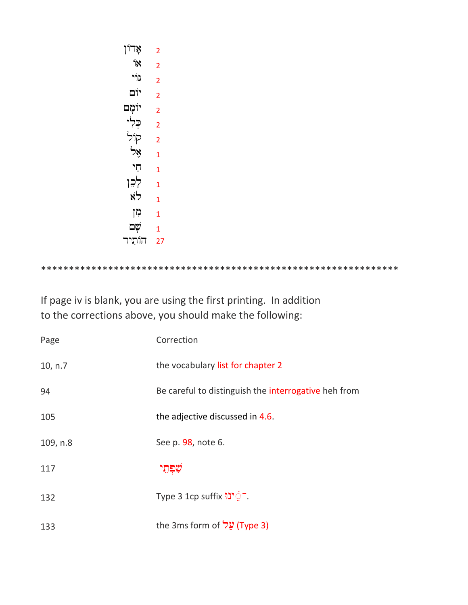| אָדוֹן          | 2              |
|-----------------|----------------|
| ٦X              | $\overline{2}$ |
| גוי             | $\overline{2}$ |
| יום             | $\overline{2}$ |
| יוֹמָם          | $\overline{2}$ |
| כִלִי           | $\overline{2}$ |
| קוֹל            | $\overline{2}$ |
| بېرا            | $\overline{1}$ |
| חי              | 1              |
| לְכֵן           | $\overline{1}$ |
| לֹא             | $\overline{1}$ |
| <mark>קו</mark> | 1              |
| שׂם             | $\overline{1}$ |
| הוֹתִיר         | 27             |

If page iv is blank, you are using the first printing. In addition to the corrections above, you should make the following:

| Page     | Correction                                           |
|----------|------------------------------------------------------|
| 10, n.7  | the vocabulary list for chapter 2                    |
| 94       | Be careful to distinguish the interrogative heh from |
| 105      | the adjective discussed in 4.6.                      |
| 109, n.8 | See p. 98, note 6.                                   |
| 117      |                                                      |
| 132      | Type 3 1cp suffix <sup>-</sup> יני                   |
| 133      | (Type 3) עֲל the 3ms form of                         |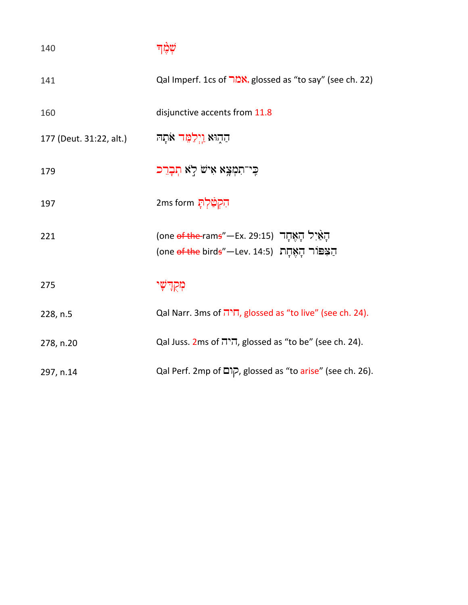| 140                     | שמד                                                                                                                                              |
|-------------------------|--------------------------------------------------------------------------------------------------------------------------------------------------|
| 141                     | Qal Imperf. 1cs of <b>ממר),</b> glossed as "to say" (see ch. 22)                                                                                 |
| 160                     | disjunctive accents from 11.8                                                                                                                    |
| 177 (Deut. 31:22, alt.) | הַהָוּא <u>וְיִלְמֵ</u> ּׁד אֹתָהּ                                                                                                               |
| 179                     | כִּי־תִמְצָא אִישׂ לְא תְבָרֵכ                                                                                                                   |
| 197                     | <del>הִ</del> קְטַ֫לְתָּ 2ms form                                                                                                                |
| 221                     | הְאֵיל הְאֶחֶד (ene <del>of the </del> ram <del>s</del> "—Ex. 29:15)<br>הַצִּפּוֹר הָאָחָת (one <del>of the</del> bird <del>s</del> "—Lev. 14:5) |
| 275                     | מְקִדְשְׁי                                                                                                                                       |
| 228, n.5                | Qal Narr. 3ms of <sup>חיה</sup> , glossed as "to live" (see ch. 24).                                                                             |
| 278, n.20               | Qal Juss. 2ms of ה'ה, glossed as "to be" (see ch. 24).                                                                                           |
| 297, n.14               | Qal Perf. 2mp of קום, glossed as "to arise" (see ch. 26).                                                                                        |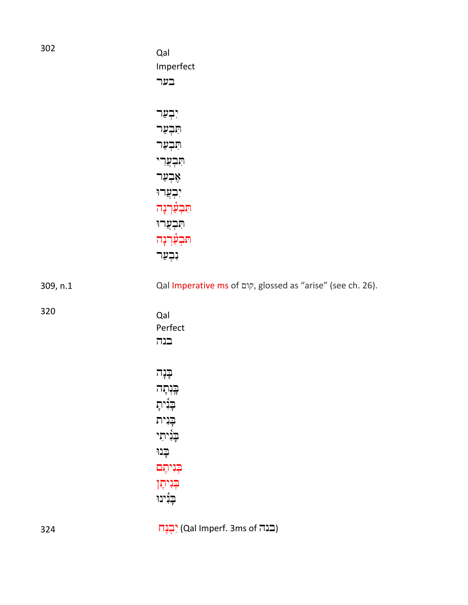| 302      | Qal<br>Imperfect<br>בער                                                                                                                         |
|----------|-------------------------------------------------------------------------------------------------------------------------------------------------|
|          | יִבְעַר<br>תִּבְעַר<br>תִּבְעַר<br>תִּבְצֲרִי<br>אָבְעַר<br>יִבְצֲרוּ<br>תִּבְעַּ֫רְנָה<br>תִּבְעֲרוּ<br>תִּבְעַֿרְנָה<br>נִבְעַר               |
| 309, n.1 | Qal Imperative ms of קום, glossed as "arise" (see ch. 26).                                                                                      |
| 320      | Qal<br>Perfect<br>בנה                                                                                                                           |
|          | ∉נֽֽה<br><del>בֵ</del> ּנְתָה<br><del>ב</del> ְּנִיתְ<br>$\mathbb{C}$ ית<br>בְּנִיתִי<br>ַּבְנוּ<br>בְּנִיתֶם<br><b>ַבְּנִיתֶן</b><br>בְּנִינוּ |

324 **in** (Cal Imperf. 3ms of بَجِين) (Qal Imperf. 3ms of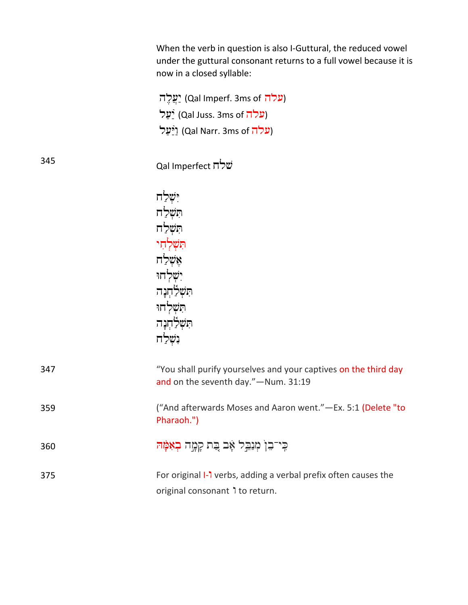When the verb in question is also I-Guttural, the reduced vowel under the guttural consonant returns to a full vowel because it is now in a closed syllable:

יַעֲלֶה) (Qal Imperf. 3ms of עֲלֶה) <u>ֿעַל)</u> (Qal Juss. 3ms of עלה) <u>יַ</u>ֿעַל) (Qal Narr. 3ms of עלה)

<sup>345</sup> Qal Imperfect שלח

| יִשְׁלַח                   |
|----------------------------|
| הִשָּׁלַח                  |
| הִשְׁלַח                   |
| <mark>הַשָּׁלְחִי</mark>   |
| אָשָׁלַח                   |
| יִשְׁלְחוּ                 |
| הַּשְׁלַחְנָה              |
| הַשָּׁלְחוּ                |
| הַּשְׁל <del>ַ</del> חְנָה |
| ּנִשְׁלַח                  |

| 347 | "You shall purify yourselves and your captives on the third day<br>and on the seventh day." - Num. 31:19 |
|-----|----------------------------------------------------------------------------------------------------------|
| 359 | ("And afterwards Moses and Aaron went."—Ex. 5:1 (Delete "to<br>Pharaoh.")                                |
| 360 | ַכְּי־בֵן מְנַבֵּל אָב בֶּת קָמֶּה בְאִמֶּהּ                                                             |
| 375 | For original I-1 verbs, adding a verbal prefix often causes the<br>original consonant 1 to return.       |